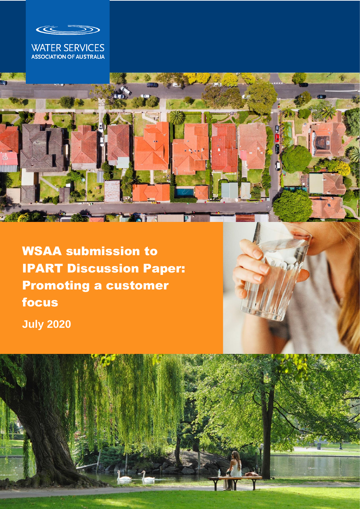

# WATER SERVICES<br>ASSOCIATION OF AUSTRALIA



WSAA submission to IPART Discussion Paper: Promoting a customer focus **July 2020**



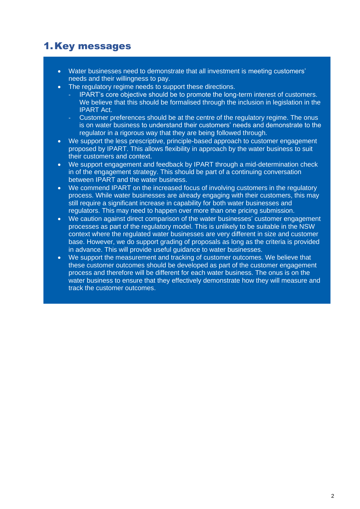## 1.Key messages

- Water businesses need to demonstrate that all investment is meeting customers' needs and their willingness to pay.
- The regulatory regime needs to support these directions.
	- IPART's core objective should be to promote the long-term interest of customers. We believe that this should be formalised through the inclusion in legislation in the IPART Act.
	- Customer preferences should be at the centre of the regulatory regime. The onus is on water business to understand their customers' needs and demonstrate to the regulator in a rigorous way that they are being followed through.
- We support the less prescriptive, principle-based approach to customer engagement proposed by IPART. This allows flexibility in approach by the water business to suit their customers and context.
- We support engagement and feedback by IPART through a mid-determination check in of the engagement strategy. This should be part of a continuing conversation between IPART and the water business.
- We commend IPART on the increased focus of involving customers in the regulatory process. While water businesses are already engaging with their customers, this may still require a significant increase in capability for both water businesses and regulators. This may need to happen over more than one pricing submission.
- We caution against direct comparison of the water businesses' customer engagement processes as part of the regulatory model. This is unlikely to be suitable in the NSW context where the regulated water businesses are very different in size and customer base. However, we do support grading of proposals as long as the criteria is provided in advance. This will provide useful guidance to water businesses.
- We support the measurement and tracking of customer outcomes. We believe that these customer outcomes should be developed as part of the customer engagement process and therefore will be different for each water business. The onus is on the water business to ensure that they effectively demonstrate how they will measure and track the customer outcomes.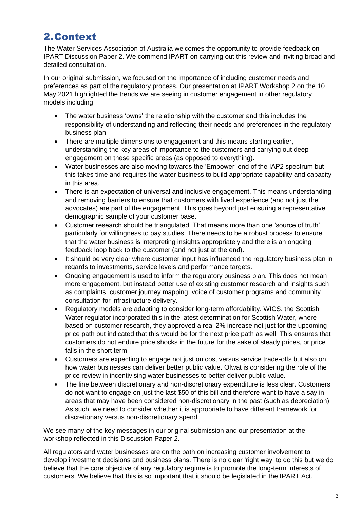# 2.Context

The Water Services Association of Australia welcomes the opportunity to provide feedback on IPART Discussion Paper 2. We commend IPART on carrying out this review and inviting broad and detailed consultation.

In our original submission, we focused on the importance of including customer needs and preferences as part of the regulatory process. Our presentation at IPART Workshop 2 on the 10 May 2021 highlighted the trends we are seeing in customer engagement in other regulatory models including:

- The water business 'owns' the relationship with the customer and this includes the responsibility of understanding and reflecting their needs and preferences in the regulatory business plan.
- There are multiple dimensions to engagement and this means starting earlier, understanding the key areas of importance to the customers and carrying out deep engagement on these specific areas (as opposed to everything).
- Water businesses are also moving towards the 'Empower' end of the IAP2 spectrum but this takes time and requires the water business to build appropriate capability and capacity in this area.
- There is an expectation of universal and inclusive engagement. This means understanding and removing barriers to ensure that customers with lived experience (and not just the advocates) are part of the engagement. This goes beyond just ensuring a representative demographic sample of your customer base.
- Customer research should be triangulated. That means more than one 'source of truth', particularly for willingness to pay studies. There needs to be a robust process to ensure that the water business is interpreting insights appropriately and there is an ongoing feedback loop back to the customer (and not just at the end).
- It should be very clear where customer input has influenced the regulatory business plan in regards to investments, service levels and performance targets.
- Ongoing engagement is used to inform the regulatory business plan. This does not mean more engagement, but instead better use of existing customer research and insights such as complaints, customer journey mapping, voice of customer programs and community consultation for infrastructure delivery.
- Regulatory models are adapting to consider long-term affordability. WICS, the Scottish Water regulator incorporated this in the latest determination for Scottish Water, where based on customer research, they approved a real 2% increase not just for the upcoming price path but indicated that this would be for the next price path as well. This ensures that customers do not endure price shocks in the future for the sake of steady prices, or price falls in the short term.
- Customers are expecting to engage not just on cost versus service trade-offs but also on how water businesses can deliver better public value. Ofwat is considering the role of the price review in incentivising water businesses to better deliver public value.
- The line between discretionary and non-discretionary expenditure is less clear. Customers do not want to engage on just the last \$50 of this bill and therefore want to have a say in areas that may have been considered non-discretionary in the past (such as depreciation). As such, we need to consider whether it is appropriate to have different framework for discretionary versus non-discretionary spend.

We see many of the key messages in our original submission and our presentation at the workshop reflected in this Discussion Paper 2.

All regulators and water businesses are on the path on increasing customer involvement to develop investment decisions and business plans. There is no clear 'right way' to do this but we do believe that the core objective of any regulatory regime is to promote the long-term interests of customers. We believe that this is so important that it should be legislated in the IPART Act.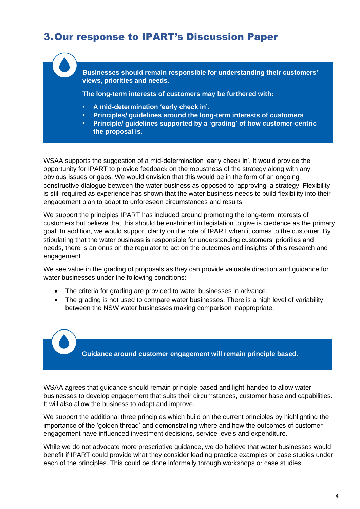#### 3.Our response to IPART's Discussion Paper

**Businesses should remain responsible for understanding their customers' views, priorities and needs.**

**The long-term interests of customers may be furthered with:**

- **A mid-determination 'early check in'.**
- **Principles/ guidelines around the long-term interests of customers**
- **Principle/ guidelines supported by a 'grading' of how customer-centric the proposal is.**

WSAA supports the suggestion of a mid-determination 'early check in'. It would provide the opportunity for IPART to provide feedback on the robustness of the strategy along with any obvious issues or gaps. We would envision that this would be in the form of an ongoing constructive dialogue between the water business as opposed to 'approving' a strategy. Flexibility is still required as experience has shown that the water business needs to build flexibility into their engagement plan to adapt to unforeseen circumstances and results.

We support the principles IPART has included around promoting the long-term interests of customers but believe that this should be enshrined in legislation to give is credence as the primary goal. In addition, we would support clarity on the role of IPART when it comes to the customer. By stipulating that the water business is responsible for understanding customers' priorities and needs, there is an onus on the regulator to act on the outcomes and insights of this research and engagement

We see value in the grading of proposals as they can provide valuable direction and guidance for water businesses under the following conditions:

- The criteria for grading are provided to water businesses in advance.
- The grading is not used to compare water businesses. There is a high level of variability between the NSW water businesses making comparison inappropriate.

**Guidance around customer engagement will remain principle based.**

WSAA agrees that guidance should remain principle based and light-handed to allow water businesses to develop engagement that suits their circumstances, customer base and capabilities. It will also allow the business to adapt and improve.

We support the additional three principles which build on the current principles by highlighting the importance of the 'golden thread' and demonstrating where and how the outcomes of customer engagement have influenced investment decisions, service levels and expenditure.

While we do not advocate more prescriptive guidance, we do believe that water businesses would benefit if IPART could provide what they consider leading practice examples or case studies under each of the principles. This could be done informally through workshops or case studies.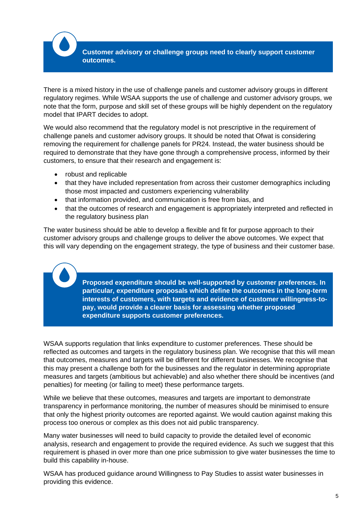**Customer advisory or challenge groups need to clearly support customer outcomes.**

There is a mixed history in the use of challenge panels and customer advisory groups in different regulatory regimes. While WSAA supports the use of challenge and customer advisory groups, we note that the form, purpose and skill set of these groups will be highly dependent on the regulatory model that IPART decides to adopt.

We would also recommend that the regulatory model is not prescriptive in the requirement of challenge panels and customer advisory groups. It should be noted that Ofwat is considering removing the requirement for challenge panels for PR24. Instead, the water business should be required to demonstrate that they have gone through a comprehensive process, informed by their customers, to ensure that their research and engagement is:

- robust and replicable
- that they have included representation from across their customer demographics including those most impacted and customers experiencing vulnerability
- that information provided, and communication is free from bias, and
- that the outcomes of research and engagement is appropriately interpreted and reflected in the regulatory business plan

The water business should be able to develop a flexible and fit for purpose approach to their customer advisory groups and challenge groups to deliver the above outcomes. We expect that this will vary depending on the engagement strategy, the type of business and their customer base.

> **Proposed expenditure should be well-supported by customer preferences. In particular, expenditure proposals which define the outcomes in the long-term interests of customers, with targets and evidence of customer willingness-topay, would provide a clearer basis for assessing whether proposed expenditure supports customer preferences.**

WSAA supports regulation that links expenditure to customer preferences. These should be reflected as outcomes and targets in the regulatory business plan. We recognise that this will mean that outcomes, measures and targets will be different for different businesses. We recognise that this may present a challenge both for the businesses and the regulator in determining appropriate measures and targets (ambitious but achievable) and also whether there should be incentives (and penalties) for meeting (or failing to meet) these performance targets.

While we believe that these outcomes, measures and targets are important to demonstrate transparency in performance monitoring, the number of measures should be minimised to ensure that only the highest priority outcomes are reported against. We would caution against making this process too onerous or complex as this does not aid public transparency.

Many water businesses will need to build capacity to provide the detailed level of economic analysis, research and engagement to provide the required evidence. As such we suggest that this requirement is phased in over more than one price submission to give water businesses the time to build this capability in-house.

WSAA has produced guidance around Willingness to Pay Studies to assist water businesses in providing this evidence.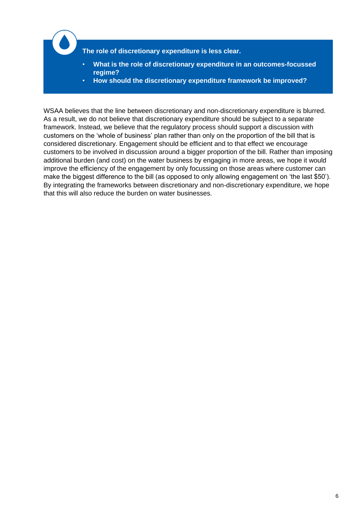

• **How should the discretionary expenditure framework be improved?**

WSAA believes that the line between discretionary and non-discretionary expenditure is blurred. As a result, we do not believe that discretionary expenditure should be subject to a separate framework. Instead, we believe that the regulatory process should support a discussion with customers on the 'whole of business' plan rather than only on the proportion of the bill that is considered discretionary. Engagement should be efficient and to that effect we encourage customers to be involved in discussion around a bigger proportion of the bill. Rather than imposing additional burden (and cost) on the water business by engaging in more areas, we hope it would improve the efficiency of the engagement by only focussing on those areas where customer can make the biggest difference to the bill (as opposed to only allowing engagement on 'the last \$50'). By integrating the frameworks between discretionary and non-discretionary expenditure, we hope that this will also reduce the burden on water businesses.